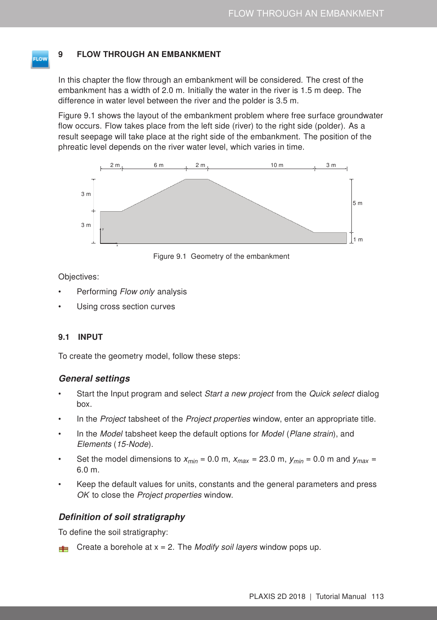### 9 FLOW THROUGH AN EMBANKMENT

In this chapter the flow through an embankment will be considered. The crest of the embankment has a width of 2.0 m. Initially the water in the river is 1.5 m deep. The difference in water level between the river and the polder is 3.5 m.

Figure [9.1](#page-0-0) shows the layout of the embankment problem where free surface groundwater flow occurs. Flow takes place from the left side (river) to the right side (polder). As a result seepage will take place at the right side of the embankment. The position of the phreatic level depends on the river water level, which varies in time.



<span id="page-0-0"></span>Figure 9.1 Geometry of the embankment

Objectives:

- Performing *Flow only* analysis
- Using cross section curves

#### 9.1 INPUT

To create the geometry model, follow these steps:

#### General settings

- Start the Input program and select *Start a new project* from the *Quick select* dialog box.
- In the Project tabsheet of the Project properties window, enter an appropriate title.
- In the Model tabsheet keep the default options for Model (Plane strain), and Elements (15-Node).
- Set the model dimensions to  $x_{min} = 0.0$  m,  $x_{max} = 23.0$  m,  $y_{min} = 0.0$  m and  $y_{max} = 0.0$ 6.0 m.
- Keep the default values for units, constants and the general parameters and press OK to close the Project properties window.

# Definition of soil stratigraphy

To define the soil stratigraphy:

Create a borehole at  $x = 2$ . The *Modify soil layers* window pops up.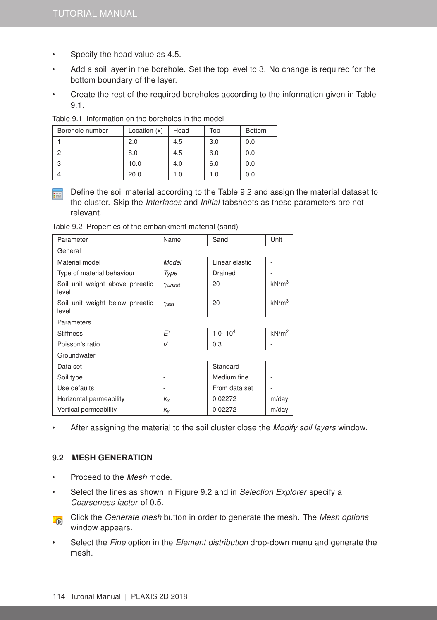- Specify the head value as 4.5.
- Add a soil layer in the borehole. Set the top level to 3. No change is required for the bottom boundary of the layer.
- Create the rest of the required boreholes according to the information given in Table [9.1.](#page-1-0)

| Borehole number | Location (x) | Head | Top | <b>Bottom</b> |
|-----------------|--------------|------|-----|---------------|
|                 | 2.0          | 4.5  | 3.0 | 0.0           |
| っ               | 8.0          | 4.5  | 6.0 | 0.0           |
| 3               | 10.0         | 4.0  | 6.0 | 0.0           |
| 4               | 20.0         | 1.0  | 1.0 | 0.0           |

<span id="page-1-0"></span>Table 9.1 Information on the boreholes in the model

Define the soil material according to the Table [9.2](#page-1-1) and assign the material dataset to 雨 the cluster. Skip the Interfaces and Initial tabsheets as these parameters are not relevant.

<span id="page-1-1"></span>Table 9.2 Properties of the embankment material (sand)

| Parameter                                | Name                    | Sand               | Unit              |
|------------------------------------------|-------------------------|--------------------|-------------------|
| General                                  |                         |                    |                   |
| Material model                           | Model                   | Linear elastic     |                   |
| Type of material behaviour               | Type                    | Drained            |                   |
| Soil unit weight above phreatic<br>level | $\gamma$ unsat          | 20                 | kN/m <sup>3</sup> |
| Soil unit weight below phreatic<br>level | $\gamma_{\textit{sat}}$ | 20                 | kN/m <sup>3</sup> |
| Parameters                               |                         |                    |                   |
| <b>Stiffness</b>                         | E'                      | $1.0 \cdot 10^{4}$ | kN/m <sup>2</sup> |
| Poisson's ratio                          | $\nu'$                  | 0.3                |                   |
| Groundwater                              |                         |                    |                   |
| Data set                                 |                         | Standard           |                   |
| Soil type                                |                         | Medium fine        |                   |
| Use defaults                             |                         | From data set      |                   |
| Horizontal permeability                  | $k_{x}$                 | 0.02272            | m/day             |
| Vertical permeability                    | kγ                      | 0.02272            | m/day             |

After assigning the material to the soil cluster close the Modify soil layers window.

#### 9.2 MESH GENERATION

- Proceed to the Mesh mode.
- Select the lines as shown in Figure [9.2](#page-2-0) and in Selection Explorer specify a Coarseness factor of 0.5.
- Click the Generate mesh button in order to generate the mesh. The Mesh options **D** window appears.
- Select the Fine option in the Element distribution drop-down menu and generate the mesh.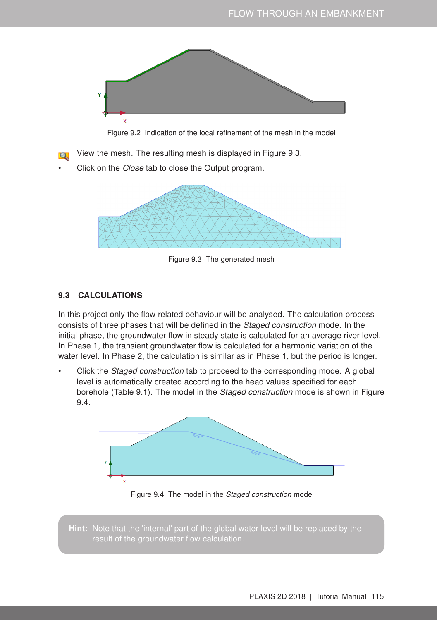

<span id="page-2-0"></span>Figure 9.2 Indication of the local refinement of the mesh in the model

View the mesh. The resulting mesh is displayed in Figure [9.3.](#page-2-1)

Click on the Close tab to close the Output program.

<span id="page-2-1"></span>

Figure 9.3 The generated mesh

# 9.3 CALCULATIONS

In this project only the flow related behaviour will be analysed. The calculation process consists of three phases that will be defined in the Staged construction mode. In the initial phase, the groundwater flow in steady state is calculated for an average river level. In Phase 1, the transient groundwater flow is calculated for a harmonic variation of the water level. In Phase 2, the calculation is similar as in Phase 1, but the period is longer.

• Click the *Staged construction* tab to proceed to the corresponding mode. A global level is automatically created according to the head values specified for each borehole (Table [9.1\)](#page-1-0). The model in the Staged construction mode is shown in Figure [9.4.](#page-2-2)



<span id="page-2-2"></span>Figure 9.4 The model in the Staged construction mode

Hint: Note that the 'internal' part of the global water level will be replaced by the result of the groundwater flow calculation.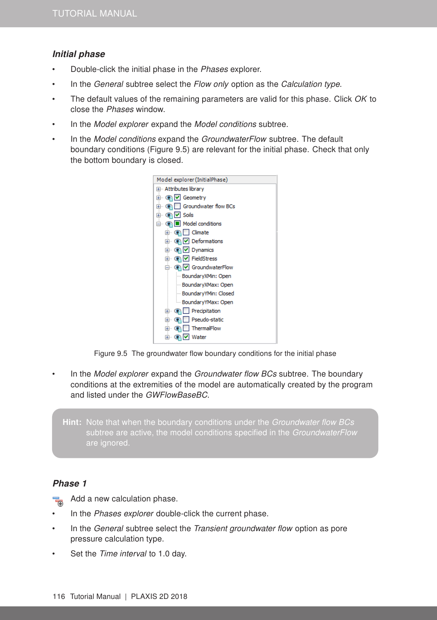# Initial phase

- Double-click the initial phase in the Phases explorer.
- In the General subtree select the Flow only option as the Calculation type.
- The default values of the remaining parameters are valid for this phase. Click  $OK$  to close the Phases window.
- In the *Model explorer* expand the *Model conditions* subtree.
- In the Model conditions expand the GroundwaterFlow subtree. The default boundary conditions (Figure [9.5\)](#page-3-0) are relevant for the initial phase. Check that only the bottom boundary is closed.



<span id="page-3-0"></span>

In the Model explorer expand the Groundwater flow BCs subtree. The boundary conditions at the extremities of the model are automatically created by the program and listed under the GWFlowBaseBC.

Hint: Note that when the boundary conditions under the Groundwater flow BCs subtree are active, the model conditions specified in the GroundwaterFlow are ignored.

# Phase 1

鬲 Add a new calculation phase.

- In the Phases explorer double-click the current phase.
- In the *General* subtree select the *Transient groundwater flow* option as pore pressure calculation type.
- Set the Time interval to 1.0 day.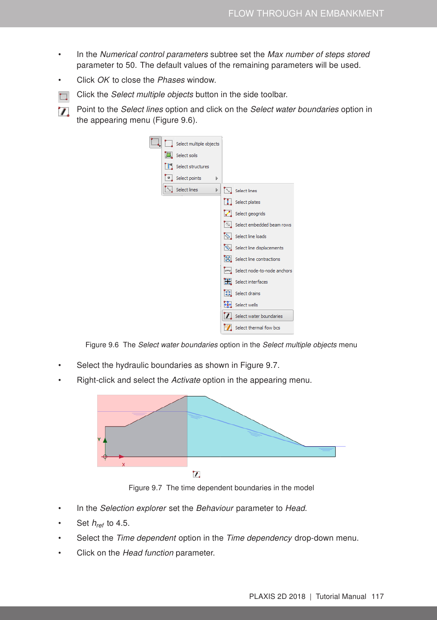- In the Numerical control parameters subtree set the Max number of steps stored parameter to 50. The default values of the remaining parameters will be used.
- Click OK to close the Phases window.
- Click the Select multiple objects button in the side toolbar.  $\mathbf{L}$
- Point to the Select lines option and click on the Select water boundaries option in  $\mathbf{v}$ the appearing menu (Figure [9.6\)](#page-4-0).



<span id="page-4-0"></span>Figure 9.6 The Select water boundaries option in the Select multiple objects menu

- Select the hydraulic boundaries as shown in Figure [9.7.](#page-4-1)
- Right-click and select the Activate option in the appearing menu.



<span id="page-4-1"></span>Figure 9.7 The time dependent boundaries in the model

- In the Selection explorer set the Behaviour parameter to Head.
- Set *href* to 4.5.
- Select the Time dependent option in the Time dependency drop-down menu.
- Click on the Head function parameter.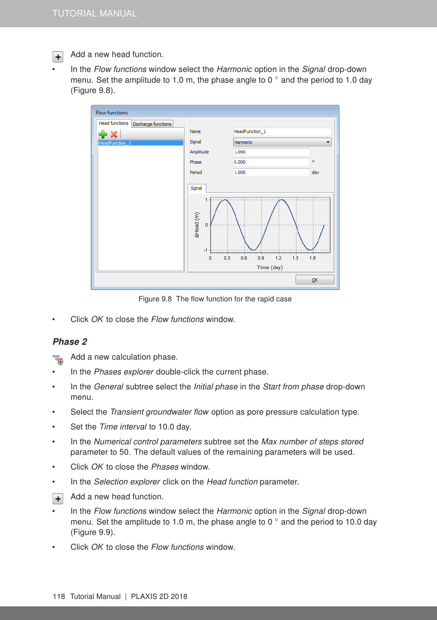Add a new head function.  $+$ 

In the Flow functions window select the Harmonic option in the Signal drop-down menu. Set the amplitude to 1.0 m, the phase angle to 0  $\degree$  and the period to 1.0 day (Figure [9.8\)](#page-5-0).



<span id="page-5-0"></span>Figure 9.8 The flow function for the rapid case

Click OK to close the Flow functions window.

#### Phase 2

鬲 Add a new calculation phase.

- In the Phases explorer double-click the current phase.
- In the General subtree select the Initial phase in the Start from phase drop-down menu.
- Select the *Transient groundwater flow* option as pore pressure calculation type.
- Set the Time interval to 10.0 day.
- In the Numerical control parameters subtree set the Max number of steps stored parameter to 50. The default values of the remaining parameters will be used.
- Click OK to close the Phases window.
- In the Selection explorer click on the Head function parameter.
- Add a new head function.  $+$
- In the Flow functions window select the Harmonic option in the Signal drop-down menu. Set the amplitude to 1.0 m, the phase angle to  $0^\circ$  and the period to 10.0 day (Figure [9.9\)](#page-6-0).
- Click OK to close the Flow functions window.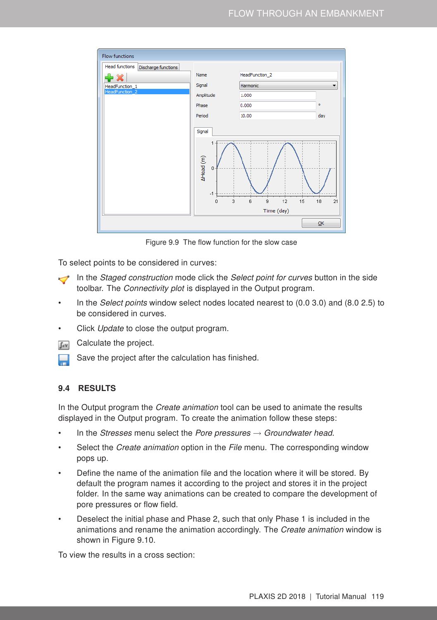| <b>Flow functions</b>                 |                                                        |                                  |                |
|---------------------------------------|--------------------------------------------------------|----------------------------------|----------------|
| Head functions<br>Discharge functions |                                                        |                                  |                |
|                                       | Name                                                   | HeadFunction_2                   |                |
| HeadFunction_1                        | Signal                                                 | Harmonic                         |                |
| HeadFunction_2                        | Amplitude                                              | 1.000                            |                |
|                                       | Phase                                                  | 0.000                            | ۰              |
|                                       | Period                                                 | 10.00                            | day            |
|                                       | Signal<br>1<br>AHead (m)<br>0<br>$-1$<br>3<br>$\Omega$ | 12<br>15<br>6<br>9<br>Time (day) | 21<br>18<br>QK |

<span id="page-6-0"></span>Figure 9.9 The flow function for the slow case

To select points to be considered in curves:

- In the Staged construction mode click the Select point for curves button in the side toolbar. The Connectivity plot is displayed in the Output program.
- In the Select points window select nodes located nearest to (0.0 3.0) and (8.0 2.5) to be considered in curves.
- Click Update to close the output program.
- **Galculate the project.** 
	- Save the project after the calculation has finished.

### 9.4 RESULTS

In the Output program the *Create animation* tool can be used to animate the results displayed in the Output program. To create the animation follow these steps:

- In the Stresses menu select the Pore pressures  $\rightarrow$  Groundwater head.
- Select the *Create animation* option in the *File* menu. The corresponding window pops up.
- Define the name of the animation file and the location where it will be stored. By default the program names it according to the project and stores it in the project folder. In the same way animations can be created to compare the development of pore pressures or flow field.
- Deselect the initial phase and Phase 2, such that only Phase 1 is included in the animations and rename the animation accordingly. The Create animation window is shown in Figure [9.10.](#page-7-0)

To view the results in a cross section: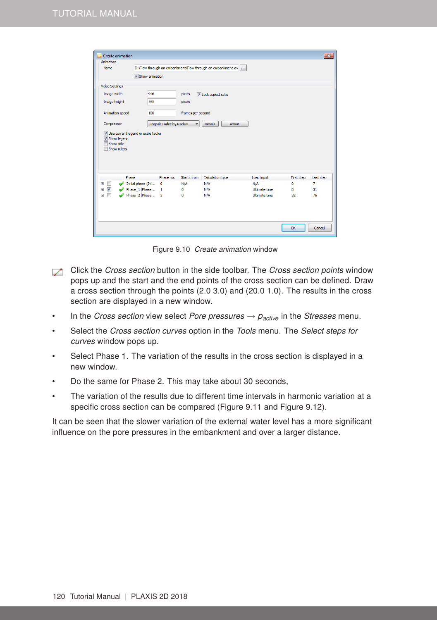| Animation<br>Name<br><b>Video Settings</b><br>Image width<br>Image height<br>Animation speed | Show animation<br>946<br>568                            | pixels<br>pixels  | D: \Flow through an embankment\Flow through an embankment.av  <br>U Lock aspect ratio |                             |            |           |
|----------------------------------------------------------------------------------------------|---------------------------------------------------------|-------------------|---------------------------------------------------------------------------------------|-----------------------------|------------|-----------|
|                                                                                              |                                                         |                   |                                                                                       |                             |            |           |
|                                                                                              |                                                         |                   |                                                                                       |                             |            |           |
|                                                                                              |                                                         |                   |                                                                                       |                             |            |           |
|                                                                                              |                                                         |                   |                                                                                       |                             |            |           |
|                                                                                              |                                                         |                   |                                                                                       |                             |            |           |
|                                                                                              | 100                                                     | frames per second |                                                                                       |                             |            |           |
| Compressor                                                                                   | Cinepak Codec by Radius<br><b>Details</b><br>About<br>۰ |                   |                                                                                       |                             |            |           |
| Use current legend or scale factor<br>Show legend<br>Show title<br>Show rulers               |                                                         |                   |                                                                                       |                             |            |           |
| Phase                                                                                        | Phase no.                                               | Starts from       | Calculation type                                                                      | Load input                  | First step | Last step |
| П<br>田                                                                                       | Initial phase [Ini<br>0                                 | N/A               | N/A                                                                                   | N/A<br><b>Ultimate time</b> | 0          | 7         |
| $\overline{\mathcal{A}}$<br>匣<br>m<br>国                                                      | Phase 1 [Phase 1<br>Phase 2 [Phase 2                    | 0<br>o            | N/A<br>N/A                                                                            | <b>Ultimate time</b>        | 8<br>32    | 31<br>76  |
|                                                                                              |                                                         |                   |                                                                                       |                             | OK         | Cancel    |

<span id="page-7-0"></span>Figure 9.10 Create animation window

- Click the Cross section button in the side toolbar. The Cross section points window pops up and the start and the end points of the cross section can be defined. Draw a cross section through the points (2.0 3.0) and (20.0 1.0). The results in the cross section are displayed in a new window.
- In the *Cross section* view select *Pore pressures*  $\rightarrow$   $p_{active}$  in the *Stresses* menu.
- Select the Cross section curves option in the Tools menu. The Select steps for curves window pops up.
- Select Phase 1. The variation of the results in the cross section is displayed in a new window.
- Do the same for Phase 2. This may take about 30 seconds,
- The variation of the results due to different time intervals in harmonic variation at a specific cross section can be compared (Figure [9.11](#page-8-0) and Figure [9.12\)](#page-8-1).

It can be seen that the slower variation of the external water level has a more significant influence on the pore pressures in the embankment and over a larger distance.